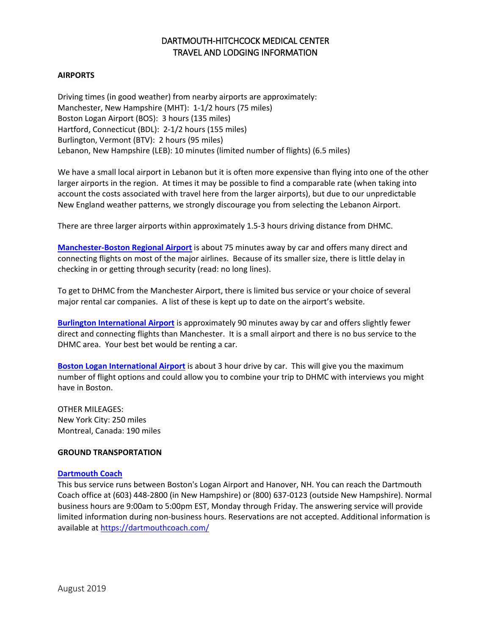# DARTMOUTH-HITCHCOCK MEDICAL CENTER TRAVEL AND LODGING INFORMATION

## **AIRPORTS**

Driving times (in good weather) from nearby airports are approximately: Manchester, New Hampshire (MHT): 1-1/2 hours (75 miles) Boston Logan Airport (BOS): 3 hours (135 miles) Hartford, Connecticut (BDL): 2-1/2 hours (155 miles) Burlington, Vermont (BTV): 2 hours (95 miles) Lebanon, New Hampshire (LEB): 10 minutes (limited number of flights) (6.5 miles)

We have a small local airport in Lebanon but it is often more expensive than flying into one of the other larger airports in the region. At times it may be possible to find a comparable rate (when taking into account the costs associated with travel here from the larger airports), but due to our unpredictable New England weather patterns, we strongly discourage you from selecting the Lebanon Airport.

There are three larger airports within approximately 1.5-3 hours driving distance from DHMC.

**[Manchester-Boston Regional Airport](https://www.flymanchester.com/)** is about 75 minutes away by car and offers many direct and connecting flights on most of the major airlines. Because of its smaller size, there is little delay in checking in or getting through security (read: no long lines).

To get to DHMC from the Manchester Airport, there is limited bus service or your choice of several major rental car companies. A list of these is kept up to date on the airport's website.

**Burlington [International Airport](http://www.burlingtonintlairport.com/)** is approximately 90 minutes away by car and offers slightly fewer direct and connecting flights than Manchester. It is a small airport and there is no bus service to the DHMC area. Your best bet would be renting a car.

**[Boston Logan International Airport](http://www.massport.com/logan-airport/)** is about 3 hour drive by car. This will give you the maximum number of flight options and could allow you to combine your trip to DHMC with interviews you might have in Boston.

OTHER MILEAGES: New York City: 250 miles Montreal, Canada: 190 miles

## **GROUND TRANSPORTATION**

#### **[Dartmouth Coach](http://www.dartmouthcoach.com/)**

This bus service runs between Boston's Logan Airport and Hanover, NH. You can reach the Dartmouth Coach office at (603) 448-2800 (in New Hampshire) or (800) 637-0123 (outside New Hampshire). Normal business hours are 9:00am to 5:00pm EST, Monday through Friday. The answering service will provide limited information during non-business hours. Reservations are not accepted. Additional information is available at<https://dartmouthcoach.com/>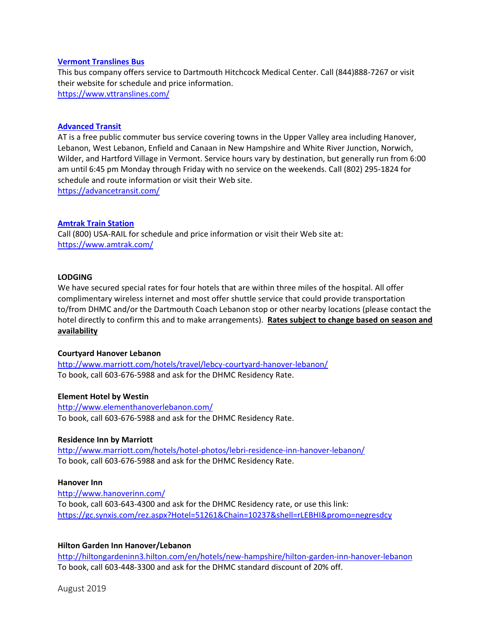### **Vermont Translines Bus**

This bus company offers service to Dartmouth Hitchcock Medical Center. Call (844)888-7267 or visit their website for schedule and price information. <https://www.vttranslines.com/>

### **[Advanced Transit](http://www.advancetransit.com/)**

AT is a free public commuter bus service covering towns in the Upper Valley area including Hanover, Lebanon, West Lebanon, Enfield and Canaan in New Hampshire and White River Junction, Norwich, Wilder, and Hartford Village in Vermont. Service hours vary by destination, but generally run from 6:00 am until 6:45 pm Monday through Friday with no service on the weekends. Call (802) 295-1824 for schedule and route information or visit their Web site.

<https://advancetransit.com/>

### **[Amtrak Train Station](http://www.amtrak.com/)**

Call (800) USA-RAIL for schedule and price information or visit their Web site at: <https://www.amtrak.com/>

#### **LODGING**

We have secured special rates for four hotels that are within three miles of the hospital. All offer complimentary wireless internet and most offer shuttle service that could provide transportation to/from DHMC and/or the Dartmouth Coach Lebanon stop or other nearby locations (please contact the hotel directly to confirm this and to make arrangements). **Rates subject to change based on season and availability**

#### **Courtyard Hanover Lebanon**

<http://www.marriott.com/hotels/travel/lebcy-courtyard-hanover-lebanon/> To book, call 603-676-5988 and ask for the DHMC Residency Rate.

#### **Element Hotel by Westin**

<http://www.elementhanoverlebanon.com/> To book, call 603-676-5988 and ask for the DHMC Residency Rate.

#### **Residence Inn by Marriott**

<http://www.marriott.com/hotels/hotel-photos/lebri-residence-inn-hanover-lebanon/> To book, call 603-676-5988 and ask for the DHMC Residency Rate.

#### **Hanover Inn**

<http://www.hanoverinn.com/> To book, call 603-643-4300 and ask for the DHMC Residency rate, or use this link: <https://gc.synxis.com/rez.aspx?Hotel=51261&Chain=10237&shell=rLEBHI&promo=negresdcy>

#### **Hilton Garden Inn Hanover/Lebanon**

<http://hiltongardeninn3.hilton.com/en/hotels/new-hampshire/hilton-garden-inn-hanover-lebanon> To book, call 603-448-3300 and ask for the DHMC standard discount of 20% off.

August 2019